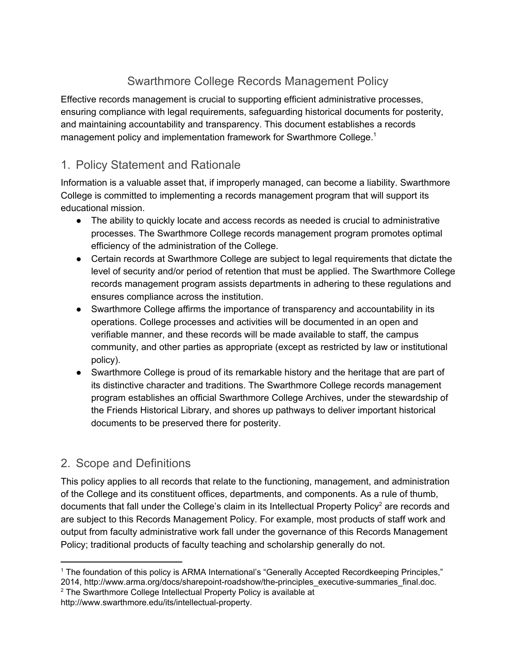## Swarthmore College Records Management Policy

Effective records management is crucial to supporting efficient administrative processes, ensuring compliance with legal requirements, safeguarding historical documents for posterity, and maintaining accountability and transparency. This document establishes a records management policy and implementation framework for Swarthmore College.<sup>1</sup>

## 1. Policy Statement and Rationale

Information is a valuable asset that, if improperly managed, can become a liability. Swarthmore College is committed to implementing a records management program that will support its educational mission.

- The ability to quickly locate and access records as needed is crucial to administrative processes. The Swarthmore College records management program promotes optimal efficiency of the administration of the College.
- Certain records at Swarthmore College are subject to legal requirements that dictate the level of security and/or period of retention that must be applied. The Swarthmore College records management program assists departments in adhering to these regulations and ensures compliance across the institution.
- Swarthmore College affirms the importance of transparency and accountability in its operations. College processes and activities will be documented in an open and verifiable manner, and these records will be made available to staff, the campus community, and other parties as appropriate (except as restricted by law or institutional policy).
- Swarthmore College is proud of its remarkable history and the heritage that are part of its distinctive character and traditions. The Swarthmore College records management program establishes an official Swarthmore College Archives, under the stewardship of the Friends Historical Library, and shores up pathways to deliver important historical documents to be preserved there for posterity.

## 2. Scope and Definitions

This policy applies to all records that relate to the functioning, management, and administration of the College and its constituent offices, departments, and components. As a rule of thumb, documents that fall under the College's claim in its Intellectual Property Policy<sup>2</sup> are records and are subject to this Records Management Policy. For example, most products of staff work and output from faculty administrative work fall under the governance of this Records Management Policy; traditional products of faculty teaching and scholarship generally do not.

<sup>2</sup> The Swarthmore College Intellectual Property Policy is available at http://www.swarthmore.edu/its/intellectual-property.

<sup>1</sup> The foundation of this policy is ARMA International's "Generally Accepted Recordkeeping Principles," 2014, http://www.arma.org/docs/sharepoint-roadshow/the-principles\_executive-summaries\_final.doc.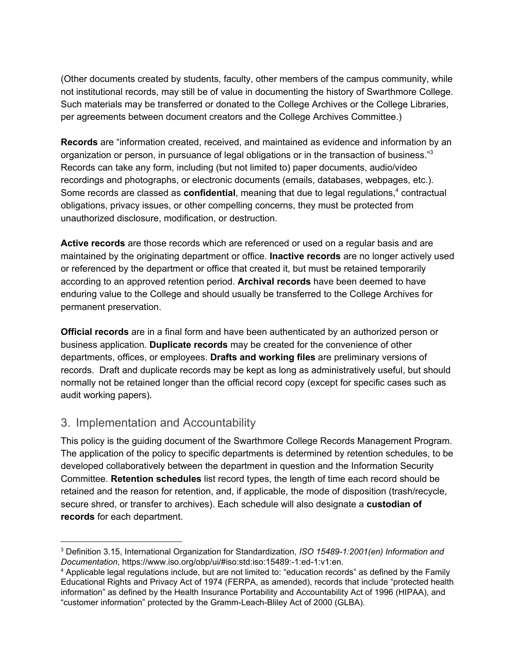(Other documents created by students, faculty, other members of the campus community, while not institutional records, may still be of value in documenting the history of Swarthmore College. Such materials may be transferred or donated to the College Archives or the College Libraries, per agreements between document creators and the College Archives Committee.)

**Records** are "information created, received, and maintained as evidence and information by an organization or person, in pursuance of legal obligations or in the transaction of business."<sup>3</sup> Records can take any form, including (but not limited to) paper documents, audio/video recordings and photographs, or electronic documents (emails, databases, webpages, etc.). Some records are classed as **confidential**, meaning that due to legal regulations,<sup>4</sup> contractual obligations, privacy issues, or other compelling concerns, they must be protected from unauthorized disclosure, modification, or destruction.

**Active records** are those records which are referenced or used on a regular basis and are maintained by the originating department or office. **Inactive records** are no longer actively used or referenced by the department or office that created it, but must be retained temporarily according to an approved retention period. **Archival records** have been deemed to have enduring value to the College and should usually be transferred to the College Archives for permanent preservation.

**Official records** are in a final form and have been authenticated by an authorized person or business application. **Duplicate records** may be created for the convenience of other departments, offices, or employees. **Drafts and working files** are preliminary versions of records. Draft and duplicate records may be kept as long as administratively useful, but should normally not be retained longer than the official record copy (except for specific cases such as audit working papers).

## 3. Implementation and Accountability

This policy is the guiding document of the Swarthmore College Records Management Program. The application of the policy to specific departments is determined by retention schedules, to be developed collaboratively between the department in question and the Information Security Committee. **Retention schedules** list record types, the length of time each record should be retained and the reason for retention, and, if applicable, the mode of disposition (trash/recycle, secure shred, or transfer to archives). Each schedule will also designate a **custodian of records** for each department.

<sup>3</sup> Definition 3.15, International Organization for Standardization, *ISO 15489-1:2001(en) Information and Documentation*, https://www.iso.org/obp/ui/#iso:std:iso:15489:-1:ed-1:v1:en.

<sup>4</sup> Applicable legal regulations include, but are not limited to: "education records" as defined by the Family Educational Rights and Privacy Act of 1974 (FERPA, as amended), records that include "protected health information" as defined by the Health Insurance Portability and Accountability Act of 1996 (HIPAA), and "customer information" protected by the Gramm-Leach-Bliley Act of 2000 (GLBA).